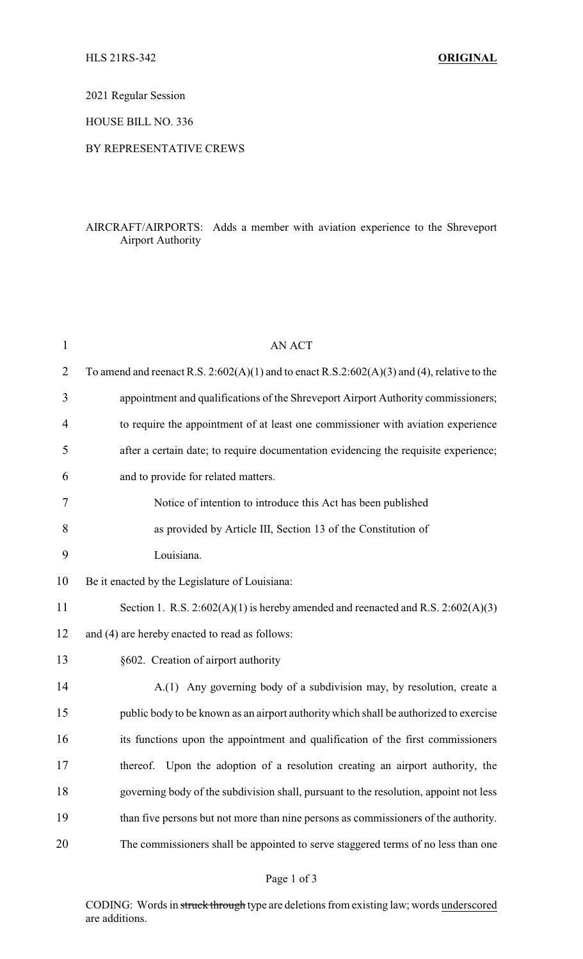2021 Regular Session

HOUSE BILL NO. 336

## BY REPRESENTATIVE CREWS

## AIRCRAFT/AIRPORTS: Adds a member with aviation experience to the Shreveport Airport Authority

| $\mathbf{1}$ | <b>AN ACT</b>                                                                                    |
|--------------|--------------------------------------------------------------------------------------------------|
| 2            | To amend and reenact R.S. $2:602(A)(1)$ and to enact R.S. $2:602(A)(3)$ and (4), relative to the |
| 3            | appointment and qualifications of the Shreveport Airport Authority commissioners;                |
| 4            | to require the appointment of at least one commissioner with aviation experience                 |
| 5            | after a certain date; to require documentation evidencing the requisite experience;              |
| 6            | and to provide for related matters.                                                              |
| 7            | Notice of intention to introduce this Act has been published                                     |
| 8            | as provided by Article III, Section 13 of the Constitution of                                    |
| 9            | Louisiana.                                                                                       |
| 10           | Be it enacted by the Legislature of Louisiana:                                                   |
| 11           | Section 1. R.S. $2:602(A)(1)$ is hereby amended and reenacted and R.S. $2:602(A)(3)$             |
| 12           | and (4) are hereby enacted to read as follows:                                                   |
| 13           | §602. Creation of airport authority                                                              |
| 14           | A.(1) Any governing body of a subdivision may, by resolution, create a                           |
| 15           | public body to be known as an airport authority which shall be authorized to exercise            |
| 16           | its functions upon the appointment and qualification of the first commissioners                  |
| 17           | thereof. Upon the adoption of a resolution creating an airport authority, the                    |
| 18           | governing body of the subdivision shall, pursuant to the resolution, appoint not less            |
| 19           | than five persons but not more than nine persons as commissioners of the authority.              |
| 20           | The commissioners shall be appointed to serve staggered terms of no less than one                |

CODING: Words in struck through type are deletions from existing law; words underscored are additions.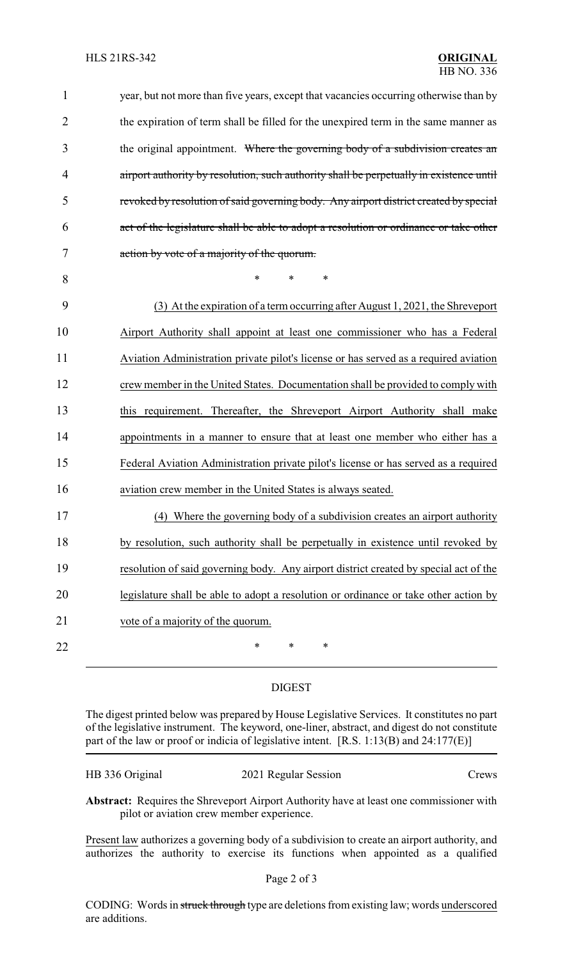| $\mathbf{1}$   | year, but not more than five years, except that vacancies occurring otherwise than by   |
|----------------|-----------------------------------------------------------------------------------------|
| $\overline{2}$ | the expiration of term shall be filled for the unexpired term in the same manner as     |
| 3              | the original appointment. Where the governing body of a subdivision creates an          |
| 4              | airport authority by resolution, such authority shall be perpetually in existence until |
| 5              | revoked by resolution of said governing body. Any airport district created by special   |
| 6              | act of the legislature shall be able to adopt a resolution or ordinance or take other   |
| $\tau$         | action by vote of a majority of the quorum.                                             |
| 8              | *<br>$\ast$<br>∗                                                                        |
| 9              | (3) At the expiration of a term occurring after August 1, 2021, the Shreveport          |
| 10             | Airport Authority shall appoint at least one commissioner who has a Federal             |
| 11             | Aviation Administration private pilot's license or has served as a required aviation    |
| 12             | crew member in the United States. Documentation shall be provided to comply with        |
| 13             | this requirement. Thereafter, the Shreveport Airport Authority shall make               |
| 14             | appointments in a manner to ensure that at least one member who either has a            |
| 15             | Federal Aviation Administration private pilot's license or has served as a required     |
| 16             | aviation crew member in the United States is always seated.                             |
| 17             | (4) Where the governing body of a subdivision creates an airport authority              |
| 18             | by resolution, such authority shall be perpetually in existence until revoked by        |
| 19             | resolution of said governing body. Any airport district created by special act of the   |
| 20             | legislature shall be able to adopt a resolution or ordinance or take other action by    |
| 21             | vote of a majority of the quorum.                                                       |
| 22             | ∗<br>∗<br>∗                                                                             |

## DIGEST

The digest printed below was prepared by House Legislative Services. It constitutes no part of the legislative instrument. The keyword, one-liner, abstract, and digest do not constitute part of the law or proof or indicia of legislative intent. [R.S. 1:13(B) and 24:177(E)]

| HB 336 Original | 2021 Regular Session | Crews |
|-----------------|----------------------|-------|
|-----------------|----------------------|-------|

**Abstract:** Requires the Shreveport Airport Authority have at least one commissioner with pilot or aviation crew member experience.

Present law authorizes a governing body of a subdivision to create an airport authority, and authorizes the authority to exercise its functions when appointed as a qualified

CODING: Words in struck through type are deletions from existing law; words underscored are additions.